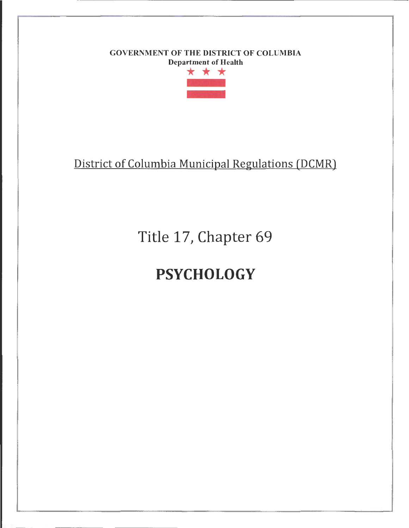### GOVERNMENT OF THE DISTRICT OF COLUMBIA Department of Health



## District of Columbia Municipal Regulations (DCMR)

Title 17, Chapter 69

# **PSYCHOLOGY**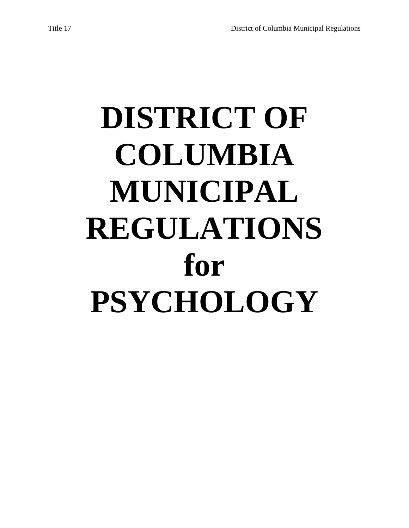# **DISTRICT OF COLUMBIA MUNICIPAL REGULATIONS for PSYCHOLOGY**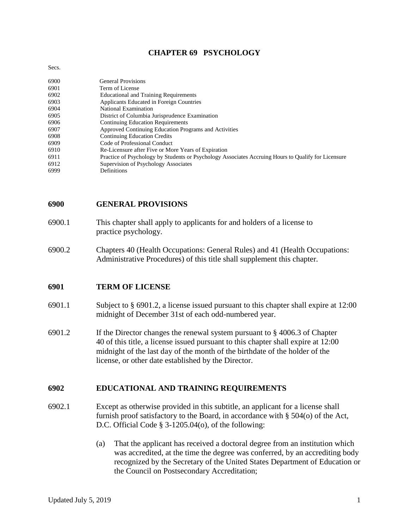#### **CHAPTER 69 PSYCHOLOGY**

#### Secs.

| 6900 | <b>General Provisions</b>                                                                           |
|------|-----------------------------------------------------------------------------------------------------|
| 6901 | Term of License                                                                                     |
| 6902 | <b>Educational and Training Requirements</b>                                                        |
| 6903 | Applicants Educated in Foreign Countries                                                            |
| 6904 | National Examination                                                                                |
| 6905 | District of Columbia Jurisprudence Examination                                                      |
| 6906 | <b>Continuing Education Requirements</b>                                                            |
| 6907 | Approved Continuing Education Programs and Activities                                               |
| 6908 | <b>Continuing Education Credits</b>                                                                 |
| 6909 | Code of Professional Conduct                                                                        |
| 6910 | Re-Licensure after Five or More Years of Expiration                                                 |
| 6911 | Practice of Psychology by Students or Psychology Associates Accruing Hours to Qualify for Licensure |
| 6912 | Supervision of Psychology Associates                                                                |
| 6999 | Definitions                                                                                         |

#### **6900 GENERAL PROVISIONS**

- 6900.1 This chapter shall apply to applicants for and holders of a license to practice psychology.
- 6900.2 Chapters 40 (Health Occupations: General Rules) and 41 (Health Occupations: Administrative Procedures) of this title shall supplement this chapter.

#### **6901 TERM OF LICENSE**

- 6901.1 Subject to § 6901.2, a license issued pursuant to this chapter shall expire at 12:00 midnight of December 31st of each odd-numbered year.
- 6901.2 If the Director changes the renewal system pursuant to § 4006.3 of Chapter 40 of this title, a license issued pursuant to this chapter shall expire at 12:00 midnight of the last day of the month of the birthdate of the holder of the license, or other date established by the Director.

#### **6902 EDUCATIONAL AND TRAINING REQUIREMENTS**

- 6902.1 Except as otherwise provided in this subtitle, an applicant for a license shall furnish proof satisfactory to the Board, in accordance with § 504(o) of the Act, D.C. Official Code § 3-1205.04(o), of the following:
	- (a) That the applicant has received a doctoral degree from an institution which was accredited, at the time the degree was conferred, by an accrediting body recognized by the Secretary of the United States Department of Education or the Council on Postsecondary Accreditation;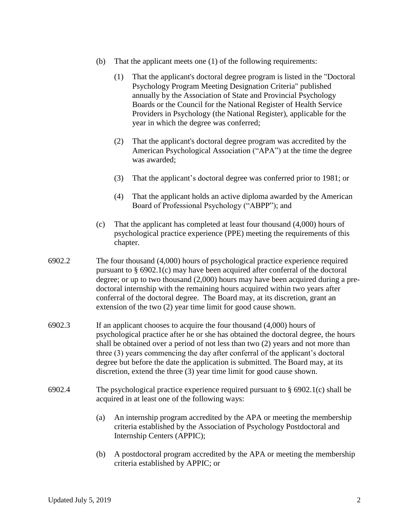- (b) That the applicant meets one (1) of the following requirements:
	- (1) That the applicant's doctoral degree program is listed in the "Doctoral Psychology Program Meeting Designation Criteria" published annually by the Association of State and Provincial Psychology Boards or the Council for the National Register of Health Service Providers in Psychology (the National Register), applicable for the year in which the degree was conferred;
	- (2) That the applicant's doctoral degree program was accredited by the American Psychological Association ("APA") at the time the degree was awarded;
	- (3) That the applicant's doctoral degree was conferred prior to 1981; or
	- (4) That the applicant holds an active diploma awarded by the American Board of Professional Psychology ("ABPP"); and
- (c) That the applicant has completed at least four thousand (4,000) hours of psychological practice experience (PPE) meeting the requirements of this chapter.
- 6902.2 The four thousand (4,000) hours of psychological practice experience required pursuant to § 6902.1(c) may have been acquired after conferral of the doctoral degree; or up to two thousand (2,000) hours may have been acquired during a predoctoral internship with the remaining hours acquired within two years after conferral of the doctoral degree. The Board may, at its discretion, grant an extension of the two (2) year time limit for good cause shown.
- 6902.3 If an applicant chooses to acquire the four thousand (4,000) hours of psychological practice after he or she has obtained the doctoral degree, the hours shall be obtained over a period of not less than two (2) years and not more than three (3) years commencing the day after conferral of the applicant's doctoral degree but before the date the application is submitted. The Board may, at its discretion, extend the three (3) year time limit for good cause shown.
- 6902.4 The psychological practice experience required pursuant to  $\S$  6902.1(c) shall be acquired in at least one of the following ways:
	- (a) An internship program accredited by the APA or meeting the membership criteria established by the Association of Psychology Postdoctoral and Internship Centers (APPIC);
	- (b) A postdoctoral program accredited by the APA or meeting the membership criteria established by APPIC; or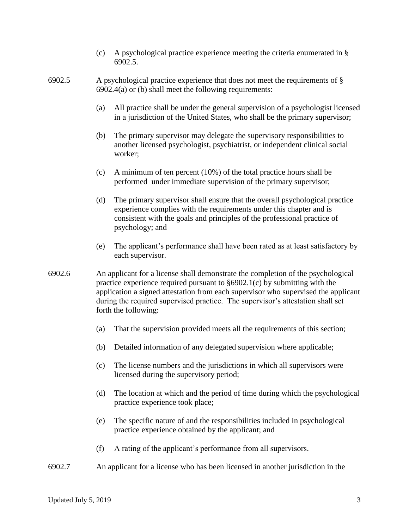- (c) A psychological practice experience meeting the criteria enumerated in § 6902.5.
- 6902.5 A psychological practice experience that does not meet the requirements of §  $6902.4(a)$  or (b) shall meet the following requirements:
	- (a) All practice shall be under the general supervision of a psychologist licensed in a jurisdiction of the United States, who shall be the primary supervisor;
	- (b) The primary supervisor may delegate the supervisory responsibilities to another licensed psychologist, psychiatrist, or independent clinical social worker;
	- (c) A minimum of ten percent (10%) of the total practice hours shall be performed under immediate supervision of the primary supervisor;
	- (d) The primary supervisor shall ensure that the overall psychological practice experience complies with the requirements under this chapter and is consistent with the goals and principles of the professional practice of psychology; and
	- (e) The applicant's performance shall have been rated as at least satisfactory by each supervisor.
- 6902.6 An applicant for a license shall demonstrate the completion of the psychological practice experience required pursuant to §6902.1(c) by submitting with the application a signed attestation from each supervisor who supervised the applicant during the required supervised practice. The supervisor's attestation shall set forth the following:
	- (a) That the supervision provided meets all the requirements of this section;
	- (b) Detailed information of any delegated supervision where applicable;
	- (c) The license numbers and the jurisdictions in which all supervisors were licensed during the supervisory period;
	- (d) The location at which and the period of time during which the psychological practice experience took place;
	- (e) The specific nature of and the responsibilities included in psychological practice experience obtained by the applicant; and
	- (f) A rating of the applicant's performance from all supervisors.
- 6902.7 An applicant for a license who has been licensed in another jurisdiction in the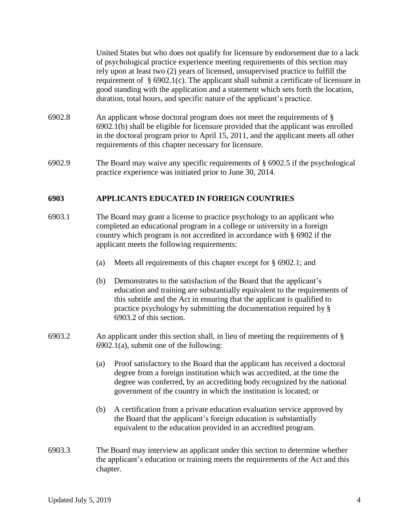United States but who does not qualify for licensure by endorsement due to a lack of psychological practice experience meeting requirements of this section may rely upon at least two (2) years of licensed, unsupervised practice to fulfill the requirement of § 6902.1(c). The applicant shall submit a certificate of licensure in good standing with the application and a statement which sets forth the location, duration, total hours, and specific nature of the applicant's practice.

- 6902.8 An applicant whose doctoral program does not meet the requirements of § 6902.1(b) shall be eligible for licensure provided that the applicant was enrolled in the doctoral program prior to April 15, 2011, and the applicant meets all other requirements of this chapter necessary for licensure.
- 6902.9 The Board may waive any specific requirements of § 6902.5 if the psychological practice experience was initiated prior to June 30, 2014.

#### **6903 APPLICANTS EDUCATED IN FOREIGN COUNTRIES**

- 6903.1 The Board may grant a license to practice psychology to an applicant who completed an educational program in a college or university in a foreign country which program is not accredited in accordance with § 6902 if the applicant meets the following requirements:
	- (a) Meets all requirements of this chapter except for § 6902.1; and
	- (b) Demonstrates to the satisfaction of the Board that the applicant's education and training are substantially equivalent to the requirements of this subtitle and the Act in ensuring that the applicant is qualified to practice psychology by submitting the documentation required by § 6903.2 of this section.
- 6903.2 An applicant under this section shall, in lieu of meeting the requirements of § 6902.1(a), submit one of the following:
	- (a) Proof satisfactory to the Board that the applicant has received a doctoral degree from a foreign institution which was accredited, at the time the degree was conferred, by an accrediting body recognized by the national government of the country in which the institution is located; or
	- (b) A certification from a private education evaluation service approved by the Board that the applicant's foreign education is substantially equivalent to the education provided in an accredited program.
- 6903.3 The Board may interview an applicant under this section to determine whether the applicant's education or training meets the requirements of the Act and this chapter.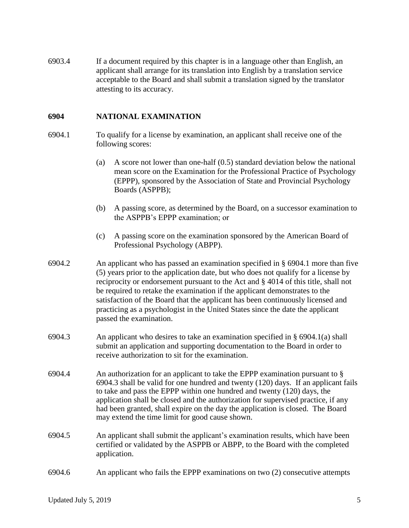6903.4 If a document required by this chapter is in a language other than English, an applicant shall arrange for its translation into English by a translation service acceptable to the Board and shall submit a translation signed by the translator attesting to its accuracy.

#### **6904 NATIONAL EXAMINATION**

- 6904.1 To qualify for a license by examination, an applicant shall receive one of the following scores:
	- (a) A score not lower than one-half (0.5) standard deviation below the national mean score on the Examination for the Professional Practice of Psychology (EPPP), sponsored by the Association of State and Provincial Psychology Boards (ASPPB);
	- (b) A passing score, as determined by the Board, on a successor examination to the ASPPB's EPPP examination; or
	- (c) A passing score on the examination sponsored by the American Board of Professional Psychology (ABPP).
- 6904.2 An applicant who has passed an examination specified in § 6904.1 more than five (5) years prior to the application date, but who does not qualify for a license by reciprocity or endorsement pursuant to the Act and § 4014 of this title, shall not be required to retake the examination if the applicant demonstrates to the satisfaction of the Board that the applicant has been continuously licensed and practicing as a psychologist in the United States since the date the applicant passed the examination.
- 6904.3 An applicant who desires to take an examination specified in § 6904.1(a) shall submit an application and supporting documentation to the Board in order to receive authorization to sit for the examination.
- 6904.4 An authorization for an applicant to take the EPPP examination pursuant to § 6904.3 shall be valid for one hundred and twenty (120) days. If an applicant fails to take and pass the EPPP within one hundred and twenty (120) days, the application shall be closed and the authorization for supervised practice, if any had been granted, shall expire on the day the application is closed. The Board may extend the time limit for good cause shown.
- 6904.5 An applicant shall submit the applicant's examination results, which have been certified or validated by the ASPPB or ABPP, to the Board with the completed application.
- 6904.6 An applicant who fails the EPPP examinations on two (2) consecutive attempts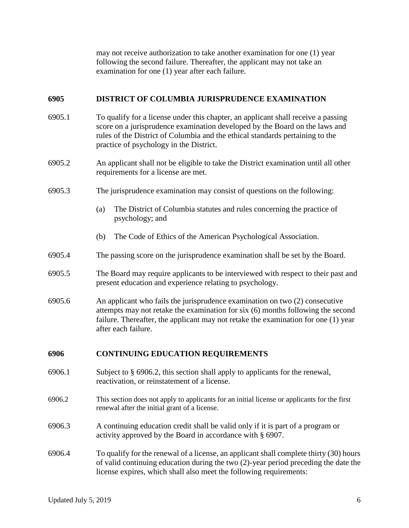may not receive authorization to take another examination for one (1) year following the second failure. Thereafter, the applicant may not take an examination for one (1) year after each failure.

#### **6905 DISTRICT OF COLUMBIA JURISPRUDENCE EXAMINATION**

- 6905.1 To qualify for a license under this chapter, an applicant shall receive a passing score on a jurisprudence examination developed by the Board on the laws and rules of the District of Columbia and the ethical standards pertaining to the practice of psychology in the District.
- 6905.2 An applicant shall not be eligible to take the District examination until all other requirements for a license are met.
- 6905.3 The jurisprudence examination may consist of questions on the following:
	- (a) The District of Columbia statutes and rules concerning the practice of psychology; and
	- (b) The Code of Ethics of the American Psychological Association.
- 6905.4 The passing score on the jurisprudence examination shall be set by the Board.
- 6905.5 The Board may require applicants to be interviewed with respect to their past and present education and experience relating to psychology.
- 6905.6 An applicant who fails the jurisprudence examination on two (2) consecutive attempts may not retake the examination for six (6) months following the second failure. Thereafter, the applicant may not retake the examination for one (1) year after each failure.

#### **6906 CONTINUING EDUCATION REQUIREMENTS**

- 6906.1 Subject to § 6906.2, this section shall apply to applicants for the renewal, reactivation, or reinstatement of a license.
- 6906.2 This section does not apply to applicants for an initial license or applicants for the first renewal after the initial grant of a license.
- 6906.3 A continuing education credit shall be valid only if it is part of a program or activity approved by the Board in accordance with § 6907.
- 6906.4 To qualify for the renewal of a license, an applicant shall complete thirty (30) hours of valid continuing education during the two (2)-year period preceding the date the license expires, which shall also meet the following requirements: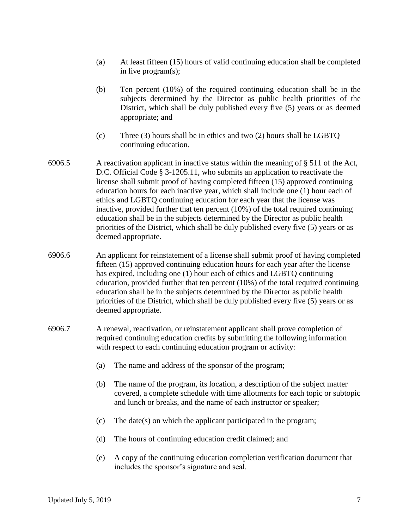- (a) At least fifteen (15) hours of valid continuing education shall be completed in live program(s);
- (b) Ten percent (10%) of the required continuing education shall be in the subjects determined by the Director as public health priorities of the District, which shall be duly published every five (5) years or as deemed appropriate; and
- (c) Three (3) hours shall be in ethics and two (2) hours shall be LGBTQ continuing education.
- 6906.5 A reactivation applicant in inactive status within the meaning of § 511 of the Act, D.C. Official Code § 3-1205.11, who submits an application to reactivate the license shall submit proof of having completed fifteen (15) approved continuing education hours for each inactive year, which shall include one (1) hour each of ethics and LGBTQ continuing education for each year that the license was inactive, provided further that ten percent (10%) of the total required continuing education shall be in the subjects determined by the Director as public health priorities of the District, which shall be duly published every five (5) years or as deemed appropriate.
- 6906.6 An applicant for reinstatement of a license shall submit proof of having completed fifteen (15) approved continuing education hours for each year after the license has expired, including one (1) hour each of ethics and LGBTQ continuing education, provided further that ten percent (10%) of the total required continuing education shall be in the subjects determined by the Director as public health priorities of the District, which shall be duly published every five (5) years or as deemed appropriate.
- 6906.7 A renewal, reactivation, or reinstatement applicant shall prove completion of required continuing education credits by submitting the following information with respect to each continuing education program or activity:
	- (a) The name and address of the sponsor of the program;
	- (b) The name of the program, its location, a description of the subject matter covered, a complete schedule with time allotments for each topic or subtopic and lunch or breaks, and the name of each instructor or speaker;
	- (c) The date(s) on which the applicant participated in the program;
	- (d) The hours of continuing education credit claimed; and
	- (e) A copy of the continuing education completion verification document that includes the sponsor's signature and seal.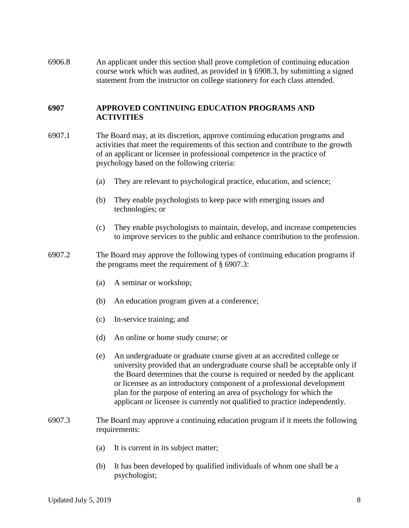6906.8 An applicant under this section shall prove completion of continuing education course work which was audited, as provided in § 6908.3, by submitting a signed statement from the instructor on college stationery for each class attended.

#### **6907 APPROVED CONTINUING EDUCATION PROGRAMS AND ACTIVITIES**

- 6907.1 The Board may, at its discretion, approve continuing education programs and activities that meet the requirements of this section and contribute to the growth of an applicant or licensee in professional competence in the practice of psychology based on the following criteria:
	- (a) They are relevant to psychological practice, education, and science;
	- (b) They enable psychologists to keep pace with emerging issues and technologies; or
	- (c) They enable psychologists to maintain, develop, and increase competencies to improve services to the public and enhance contribution to the profession.
- 6907.2 The Board may approve the following types of continuing education programs if the programs meet the requirement of § 6907.3:
	- (a) A seminar or workshop;
	- (b) An education program given at a conference;
	- (c) In-service training; and
	- (d) An online or home study course; or
	- (e) An undergraduate or graduate course given at an accredited college or university provided that an undergraduate course shall be acceptable only if the Board determines that the course is required or needed by the applicant or licensee as an introductory component of a professional development plan for the purpose of entering an area of psychology for which the applicant or licensee is currently not qualified to practice independently.
- 6907.3 The Board may approve a continuing education program if it meets the following requirements:
	- (a) It is current in its subject matter;
	- (b) It has been developed by qualified individuals of whom one shall be a psychologist;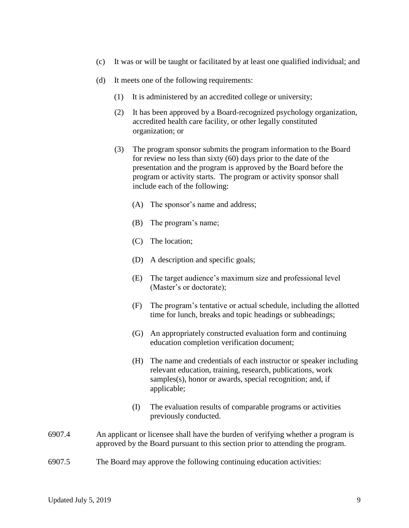- (c) It was or will be taught or facilitated by at least one qualified individual; and
- (d) It meets one of the following requirements:
	- (1) It is administered by an accredited college or university;
	- (2) It has been approved by a Board-recognized psychology organization, accredited health care facility, or other legally constituted organization; or
	- (3) The program sponsor submits the program information to the Board for review no less than sixty (60) days prior to the date of the presentation and the program is approved by the Board before the program or activity starts. The program or activity sponsor shall include each of the following:
		- (A) The sponsor's name and address;
		- (B) The program's name;
		- (C) The location;
		- (D) A description and specific goals;
		- (E) The target audience's maximum size and professional level (Master's or doctorate);
		- (F) The program's tentative or actual schedule, including the allotted time for lunch, breaks and topic headings or subheadings;
		- (G) An appropriately constructed evaluation form and continuing education completion verification document;
		- (H) The name and credentials of each instructor or speaker including relevant education, training, research, publications, work samples(s), honor or awards, special recognition; and, if applicable;
		- (I) The evaluation results of comparable programs or activities previously conducted.
- 6907.4 An applicant or licensee shall have the burden of verifying whether a program is approved by the Board pursuant to this section prior to attending the program.
- 6907.5 The Board may approve the following continuing education activities: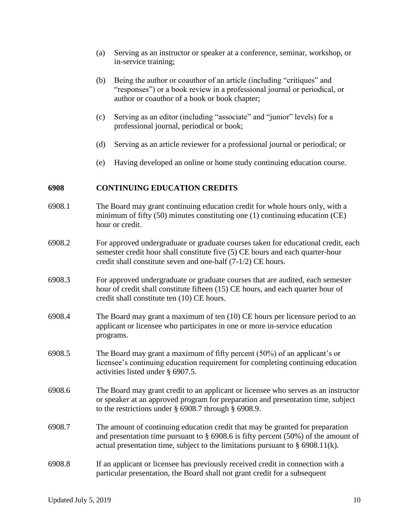- (a) Serving as an instructor or speaker at a conference, seminar, workshop, or in-service training;
- (b) Being the author or coauthor of an article (including "critiques" and "responses") or a book review in a professional journal or periodical, or author or coauthor of a book or book chapter;
- (c) Serving as an editor (including "associate" and "junior" levels) for a professional journal, periodical or book;
- (d) Serving as an article reviewer for a professional journal or periodical; or
- (e) Having developed an online or home study continuing education course.

#### **6908 CONTINUING EDUCATION CREDITS**

- 6908.1 The Board may grant continuing education credit for whole hours only, with a minimum of fifty (50) minutes constituting one (1) continuing education (CE) hour or credit.
- 6908.2 For approved undergraduate or graduate courses taken for educational credit, each semester credit hour shall constitute five (5) CE hours and each quarter-hour credit shall constitute seven and one-half (7-1/2) CE hours.
- 6908.3 For approved undergraduate or graduate courses that are audited, each semester hour of credit shall constitute fifteen (15) CE hours, and each quarter hour of credit shall constitute ten (10) CE hours.
- 6908.4 The Board may grant a maximum of ten (10) CE hours per licensure period to an applicant or licensee who participates in one or more in-service education programs.
- 6908.5 The Board may grant a maximum of fifty percent (50%) of an applicant's or licensee's continuing education requirement for completing continuing education activities listed under § 6907.5.
- 6908.6 The Board may grant credit to an applicant or licensee who serves as an instructor or speaker at an approved program for preparation and presentation time, subject to the restrictions under § 6908.7 through § 6908.9.
- 6908.7 The amount of continuing education credit that may be granted for preparation and presentation time pursuant to § 6908.6 is fifty percent (50%) of the amount of actual presentation time, subject to the limitations pursuant to  $\S$  6908.11(k).
- 6908.8 If an applicant or licensee has previously received credit in connection with a particular presentation, the Board shall not grant credit for a subsequent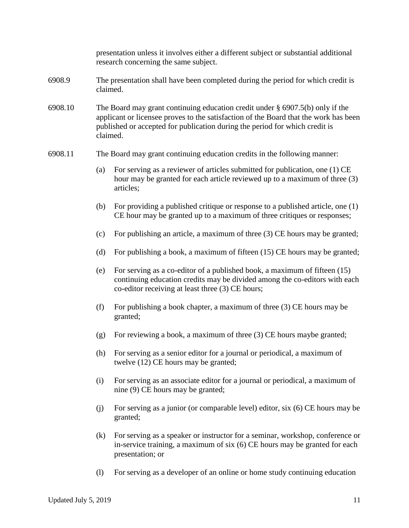|         | presentation unless it involves either a different subject or substantial additional<br>research concerning the same subject.                                                                                                                                       |                                                                                                                                                                                                               |  |  |  |
|---------|---------------------------------------------------------------------------------------------------------------------------------------------------------------------------------------------------------------------------------------------------------------------|---------------------------------------------------------------------------------------------------------------------------------------------------------------------------------------------------------------|--|--|--|
| 6908.9  | The presentation shall have been completed during the period for which credit is<br>claimed.                                                                                                                                                                        |                                                                                                                                                                                                               |  |  |  |
| 6908.10 | The Board may grant continuing education credit under $\S$ 6907.5(b) only if the<br>applicant or licensee proves to the satisfaction of the Board that the work has been<br>published or accepted for publication during the period for which credit is<br>claimed. |                                                                                                                                                                                                               |  |  |  |
| 6908.11 | The Board may grant continuing education credits in the following manner:                                                                                                                                                                                           |                                                                                                                                                                                                               |  |  |  |
|         | (a)                                                                                                                                                                                                                                                                 | For serving as a reviewer of articles submitted for publication, one (1) CE<br>hour may be granted for each article reviewed up to a maximum of three (3)<br>articles;                                        |  |  |  |
|         | (b)                                                                                                                                                                                                                                                                 | For providing a published critique or response to a published article, one (1)<br>CE hour may be granted up to a maximum of three critiques or responses;                                                     |  |  |  |
|         | (c)                                                                                                                                                                                                                                                                 | For publishing an article, a maximum of three (3) CE hours may be granted;                                                                                                                                    |  |  |  |
|         | (d)                                                                                                                                                                                                                                                                 | For publishing a book, a maximum of fifteen (15) CE hours may be granted;                                                                                                                                     |  |  |  |
|         | (e)                                                                                                                                                                                                                                                                 | For serving as a co-editor of a published book, a maximum of fifteen $(15)$<br>continuing education credits may be divided among the co-editors with each<br>co-editor receiving at least three (3) CE hours; |  |  |  |
|         | (f)                                                                                                                                                                                                                                                                 | For publishing a book chapter, a maximum of three $(3)$ CE hours may be<br>granted;                                                                                                                           |  |  |  |
|         | (g)                                                                                                                                                                                                                                                                 | For reviewing a book, a maximum of three (3) CE hours maybe granted;                                                                                                                                          |  |  |  |
|         | (h)                                                                                                                                                                                                                                                                 | For serving as a senior editor for a journal or periodical, a maximum of<br>twelve (12) CE hours may be granted;                                                                                              |  |  |  |
|         | (i)                                                                                                                                                                                                                                                                 | For serving as an associate editor for a journal or periodical, a maximum of<br>nine (9) CE hours may be granted;                                                                                             |  |  |  |
|         | (j)                                                                                                                                                                                                                                                                 | For serving as a junior (or comparable level) editor, six (6) CE hours may be<br>granted;                                                                                                                     |  |  |  |
|         | (k)                                                                                                                                                                                                                                                                 | For serving as a speaker or instructor for a seminar, workshop, conference or<br>in-service training, a maximum of six (6) CE hours may be granted for each<br>presentation; or                               |  |  |  |
|         | $\left( \mathrm{l}\right)$                                                                                                                                                                                                                                          | For serving as a developer of an online or home study continuing education                                                                                                                                    |  |  |  |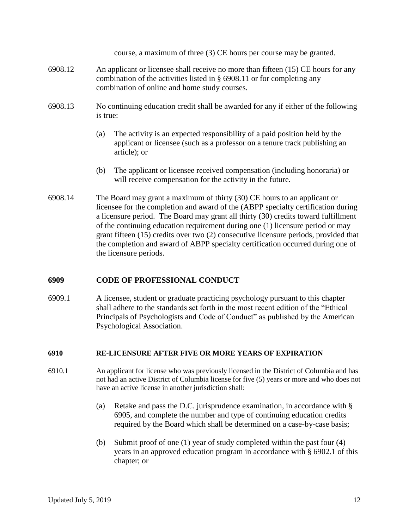course, a maximum of three (3) CE hours per course may be granted.

- 6908.12 An applicant or licensee shall receive no more than fifteen (15) CE hours for any combination of the activities listed in § 6908.11 or for completing any combination of online and home study courses.
- 6908.13 No continuing education credit shall be awarded for any if either of the following is true:
	- (a) The activity is an expected responsibility of a paid position held by the applicant or licensee (such as a professor on a tenure track publishing an article); or
	- (b) The applicant or licensee received compensation (including honoraria) or will receive compensation for the activity in the future.
- 6908.14 The Board may grant a maximum of thirty (30) CE hours to an applicant or licensee for the completion and award of the (ABPP specialty certification during a licensure period. The Board may grant all thirty (30) credits toward fulfillment of the continuing education requirement during one (1) licensure period or may grant fifteen (15) credits over two (2) consecutive licensure periods, provided that the completion and award of ABPP specialty certification occurred during one of the licensure periods.

#### **6909 CODE OF PROFESSIONAL CONDUCT**

6909.1 A licensee, student or graduate practicing psychology pursuant to this chapter shall adhere to the standards set forth in the most recent edition of the "Ethical Principals of Psychologists and Code of Conduct" as published by the American Psychological Association.

#### **6910 RE-LICENSURE AFTER FIVE OR MORE YEARS OF EXPIRATION**

- 6910.1 An applicant for license who was previously licensed in the District of Columbia and has not had an active District of Columbia license for five (5) years or more and who does not have an active license in another jurisdiction shall:
	- (a) Retake and pass the D.C. jurisprudence examination, in accordance with § 6905, and complete the number and type of continuing education credits required by the Board which shall be determined on a case-by-case basis;
	- (b) Submit proof of one (1) year of study completed within the past four (4) years in an approved education program in accordance with § 6902.1 of this chapter; or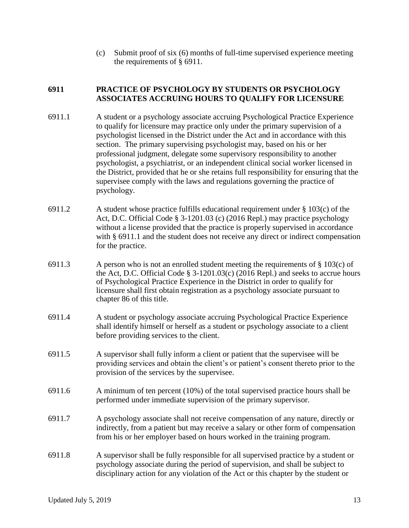(c) Submit proof of six (6) months of full-time supervised experience meeting the requirements of § 6911.

#### **6911 PRACTICE OF PSYCHOLOGY BY STUDENTS OR PSYCHOLOGY ASSOCIATES ACCRUING HOURS TO QUALIFY FOR LICENSURE**

- 6911.1 A student or a psychology associate accruing Psychological Practice Experience to qualify for licensure may practice only under the primary supervision of a psychologist licensed in the District under the Act and in accordance with this section. The primary supervising psychologist may, based on his or her professional judgment, delegate some supervisory responsibility to another psychologist, a psychiatrist, or an independent clinical social worker licensed in the District, provided that he or she retains full responsibility for ensuring that the supervisee comply with the laws and regulations governing the practice of psychology.
- 6911.2 A student whose practice fulfills educational requirement under § 103(c) of the Act, D.C. Official Code § 3-1201.03 (c) (2016 Repl.) may practice psychology without a license provided that the practice is properly supervised in accordance with § 6911.1 and the student does not receive any direct or indirect compensation for the practice.
- 6911.3 A person who is not an enrolled student meeting the requirements of  $\S$  103(c) of the Act, D.C. Official Code  $\S$  3-1201.03(c) (2016 Repl.) and seeks to accrue hours of Psychological Practice Experience in the District in order to qualify for licensure shall first obtain registration as a psychology associate pursuant to chapter 86 of this title.
- 6911.4 A student or psychology associate accruing Psychological Practice Experience shall identify himself or herself as a student or psychology associate to a client before providing services to the client.
- 6911.5 A supervisor shall fully inform a client or patient that the supervisee will be providing services and obtain the client's or patient's consent thereto prior to the provision of the services by the supervisee.
- 6911.6 A minimum of ten percent (10%) of the total supervised practice hours shall be performed under immediate supervision of the primary supervisor.
- 6911.7 A psychology associate shall not receive compensation of any nature, directly or indirectly, from a patient but may receive a salary or other form of compensation from his or her employer based on hours worked in the training program.
- 6911.8 A supervisor shall be fully responsible for all supervised practice by a student or psychology associate during the period of supervision, and shall be subject to disciplinary action for any violation of the Act or this chapter by the student or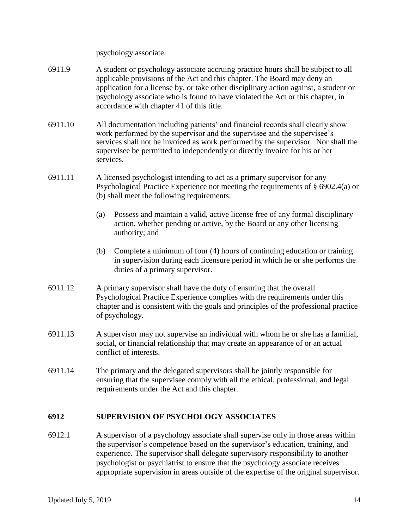psychology associate.

- 6911.9 A student or psychology associate accruing practice hours shall be subject to all applicable provisions of the Act and this chapter. The Board may deny an application for a license by, or take other disciplinary action against, a student or psychology associate who is found to have violated the Act or this chapter, in accordance with chapter 41 of this title.
- 6911.10 All documentation including patients' and financial records shall clearly show work performed by the supervisor and the supervisee and the supervisee's services shall not be invoiced as work performed by the supervisor. Nor shall the supervisee be permitted to independently or directly invoice for his or her services.
- 6911.11 A licensed psychologist intending to act as a primary supervisor for any Psychological Practice Experience not meeting the requirements of § 6902.4(a) or (b) shall meet the following requirements:
	- (a) Possess and maintain a valid, active license free of any formal disciplinary action, whether pending or active, by the Board or any other licensing authority; and
	- (b) Complete a minimum of four (4) hours of continuing education or training in supervision during each licensure period in which he or she performs the duties of a primary supervisor.
- 6911.12 A primary supervisor shall have the duty of ensuring that the overall Psychological Practice Experience complies with the requirements under this chapter and is consistent with the goals and principles of the professional practice of psychology.
- 6911.13 A supervisor may not supervise an individual with whom he or she has a familial, social, or financial relationship that may create an appearance of or an actual conflict of interests.
- 6911.14 The primary and the delegated supervisors shall be jointly responsible for ensuring that the supervisee comply with all the ethical, professional, and legal requirements under the Act and this chapter.

#### **6912 SUPERVISION OF PSYCHOLOGY ASSOCIATES**

6912.1 A supervisor of a psychology associate shall supervise only in those areas within the supervisor's competence based on the supervisor's education, training, and experience. The supervisor shall delegate supervisory responsibility to another psychologist or psychiatrist to ensure that the psychology associate receives appropriate supervision in areas outside of the expertise of the original supervisor.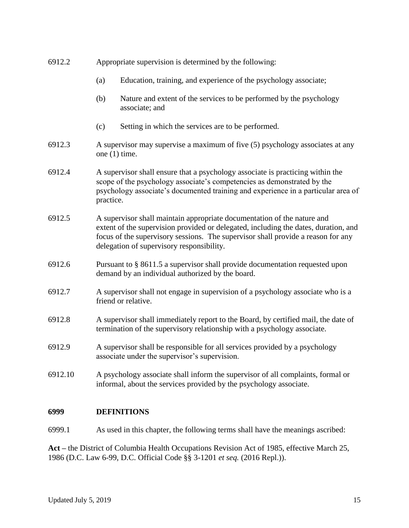| 6912.2  | Appropriate supervision is determined by the following:                                                                                                                                                                                                                                         |                                                                                       |  |  |
|---------|-------------------------------------------------------------------------------------------------------------------------------------------------------------------------------------------------------------------------------------------------------------------------------------------------|---------------------------------------------------------------------------------------|--|--|
|         | (a)                                                                                                                                                                                                                                                                                             | Education, training, and experience of the psychology associate;                      |  |  |
|         | (b)                                                                                                                                                                                                                                                                                             | Nature and extent of the services to be performed by the psychology<br>associate; and |  |  |
|         | (c)                                                                                                                                                                                                                                                                                             | Setting in which the services are to be performed.                                    |  |  |
| 6912.3  | A supervisor may supervise a maximum of five (5) psychology associates at any<br>one $(1)$ time.                                                                                                                                                                                                |                                                                                       |  |  |
| 6912.4  | A supervisor shall ensure that a psychology associate is practicing within the<br>scope of the psychology associate's competencies as demonstrated by the<br>psychology associate's documented training and experience in a particular area of<br>practice.                                     |                                                                                       |  |  |
| 6912.5  | A supervisor shall maintain appropriate documentation of the nature and<br>extent of the supervision provided or delegated, including the dates, duration, and<br>focus of the supervisory sessions. The supervisor shall provide a reason for any<br>delegation of supervisory responsibility. |                                                                                       |  |  |
| 6912.6  | Pursuant to § 8611.5 a supervisor shall provide documentation requested upon<br>demand by an individual authorized by the board.                                                                                                                                                                |                                                                                       |  |  |
| 6912.7  | A supervisor shall not engage in supervision of a psychology associate who is a<br>friend or relative.                                                                                                                                                                                          |                                                                                       |  |  |
| 6912.8  | A supervisor shall immediately report to the Board, by certified mail, the date of<br>termination of the supervisory relationship with a psychology associate.                                                                                                                                  |                                                                                       |  |  |
| 6912.9  | A supervisor shall be responsible for all services provided by a psychology<br>associate under the supervisor's supervision.                                                                                                                                                                    |                                                                                       |  |  |
| 6912.10 | A psychology associate shall inform the supervisor of all complaints, formal or<br>informal, about the services provided by the psychology associate.                                                                                                                                           |                                                                                       |  |  |
| 6999    |                                                                                                                                                                                                                                                                                                 | <b>DEFINITIONS</b>                                                                    |  |  |

#### 6999.1 As used in this chapter, the following terms shall have the meanings ascribed:

**Act –** the District of Columbia Health Occupations Revision Act of 1985, effective March 25, 1986 (D.C. Law 6-99, D.C. Official Code §§ 3-1201 *et seq.* (2016 Repl.)).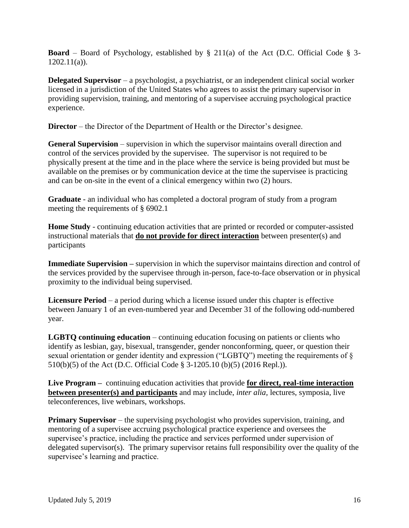**Board** – Board of Psychology, established by § 211(a) of the Act (D.C. Official Code § 3-  $1202.11(a)$ ).

**Delegated Supervisor** – a psychologist, a psychiatrist, or an independent clinical social worker licensed in a jurisdiction of the United States who agrees to assist the primary supervisor in providing supervision, training, and mentoring of a supervisee accruing psychological practice experience.

**Director** – the Director of the Department of Health or the Director's designee.

**General Supervision** – supervision in which the supervisor maintains overall direction and control of the services provided by the supervisee. The supervisor is not required to be physically present at the time and in the place where the service is being provided but must be available on the premises or by communication device at the time the supervisee is practicing and can be on-site in the event of a clinical emergency within two (2) hours.

**Graduate** - an individual who has completed a doctoral program of study from a program meeting the requirements of § 6902.1

**Home Study** - continuing education activities that are printed or recorded or computer-assisted instructional materials that **do not provide for direct interaction** between presenter(s) and participants

**Immediate Supervision –** supervision in which the supervisor maintains direction and control of the services provided by the supervisee through in-person, face-to-face observation or in physical proximity to the individual being supervised.

**Licensure Period** – a period during which a license issued under this chapter is effective between January 1 of an even-numbered year and December 31 of the following odd-numbered year.

**LGBTQ continuing education** – continuing education focusing on patients or clients who identify as lesbian, gay, bisexual, transgender, gender nonconforming, queer, or question their sexual orientation or gender identity and expression ("LGBTQ") meeting the requirements of § 510(b)(5) of the Act (D.C. Official Code § 3-1205.10 (b)(5) (2016 Repl.)).

**Live Program –** continuing education activities that provide **for direct, real-time interaction between presenter(s) and participants** and may include, *inter alia,* lectures, symposia, live teleconferences, live webinars, workshops.

**Primary Supervisor** – the supervising psychologist who provides supervision, training, and mentoring of a supervisee accruing psychological practice experience and oversees the supervisee's practice, including the practice and services performed under supervision of delegated supervisor(s). The primary supervisor retains full responsibility over the quality of the supervisee's learning and practice.